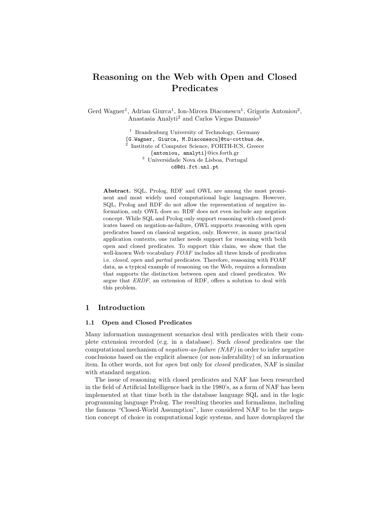# Reasoning on the Web with Open and Closed Predicates

Gerd Wagner<sup>1</sup>, Adrian Giurca<sup>1</sup>, Ion-Mircea Diaconescu<sup>1</sup>, Grigoris Antoniou<sup>2</sup>, Anastasia Analyti<sup>2</sup> and Carlos Viegas Damasio<sup>3</sup>

> <sup>1</sup> Brandenburg University of Technology, Germany {G.Wagner, Giurca, M.Diaconescu}@tu-cottbus.de, 2 Institute of Computer Science, FORTH-ICS, Greece {antoniou, analyti}@ics.forth.gr <sup>3</sup> Universidade Nova de Lisboa, Portugal cd@di.fct.unl.pt

Abstract. SQL, Prolog, RDF and OWL are among the most prominent and most widely used computational logic languages. However, SQL, Prolog and RDF do not allow the representation of negative information, only OWL does so. RDF does not even include any negation concept. While SQL and Prolog only support reasoning with closed predicates based on negation-as-failure, OWL supports reasoning with open predicates based on classical negation, only. However, in many practical application contexts, one rather needs support for reasoning with both open and closed predicates. To support this claim, we show that the well-known Web vocabulary  $FOAF$  includes all three kinds of predicates i.e. closed, open and partial predicates. Therefore, reasoning with FOAF data, as a typical example of reasoning on the Web, requires a formalism that supports the distinction between open and closed predicates. We argue that ERDF, an extension of RDF, offers a solution to deal with this problem.

# 1 Introduction

#### 1.1 Open and Closed Predicates

Many information management scenarios deal with predicates with their complete extension recorded (e.g. in a database). Such closed predicates use the computational mechanism of *negation-as-failure (NAF)* in order to infer negative conclusions based on the explicit absence (or non-inferability) of an information item. In other words, not for open but only for closed predicates, NAF is similar with standard negation.

The issue of reasoning with closed predicates and NAF has been researched in the field of Artificial Intelligence back in the 1980's, as a form of NAF has been implemented at that time both in the database language SQL and in the logic programming language Prolog. The resulting theories and formalisms, including the famous "Closed-World Assumption", have considered NAF to be the negation concept of choice in computational logic systems, and have downplayed the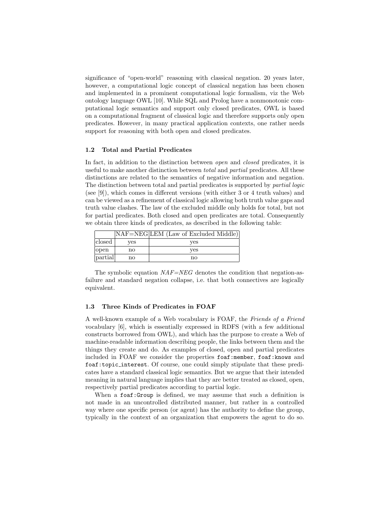significance of "open-world" reasoning with classical negation. 20 years later, however, a computational logic concept of classical negation has been chosen and implemented in a prominent computational logic formalism, viz the Web ontology language OWL [10]. While SQL and Prolog have a nonmonotonic computational logic semantics and support only closed predicates, OWL is based on a computational fragment of classical logic and therefore supports only open predicates. However, in many practical application contexts, one rather needs support for reasoning with both open and closed predicates.

#### 1.2 Total and Partial Predicates

In fact, in addition to the distinction between *open* and *closed* predicates, it is useful to make another distinction between *total* and *partial* predicates. All these distinctions are related to the semantics of negative information and negation. The distinction between total and partial predicates is supported by partial logic (see [9]), which comes in different versions (with either 3 or 4 truth values) and can be viewed as a refinement of classical logic allowing both truth value gaps and truth value clashes. The law of the excluded middle only holds for total, but not for partial predicates. Both closed and open predicates are total. Consequently we obtain three kinds of predicates, as described in the following table:

|         |     | NAF=NEG LEM (Law of Excluded Middle) |
|---------|-----|--------------------------------------|
| closed  | ves | ves                                  |
| open    | no  | ves                                  |
| partial | no  | no                                   |

The symbolic equation  $NAF=NEG$  denotes the condition that negation-asfailure and standard negation collapse, i.e. that both connectives are logically equivalent.

# 1.3 Three Kinds of Predicates in FOAF

A well-known example of a Web vocabulary is FOAF, the Friends of a Friend vocabulary [6], which is essentially expressed in RDFS (with a few additional constructs borrowed from OWL), and which has the purpose to create a Web of machine-readable information describing people, the links between them and the things they create and do. As examples of closed, open and partial predicates included in FOAF we consider the properties foaf:member, foaf:knows and foaf:topic interest. Of course, one could simply stipulate that these predicates have a standard classical logic semantics. But we argue that their intended meaning in natural language implies that they are better treated as closed, open, respectively partial predicates according to partial logic.

When a foaf:Group is defined, we may assume that such a definition is not made in an uncontrolled distributed manner, but rather in a controlled way where one specific person (or agent) has the authority to define the group, typically in the context of an organization that empowers the agent to do so.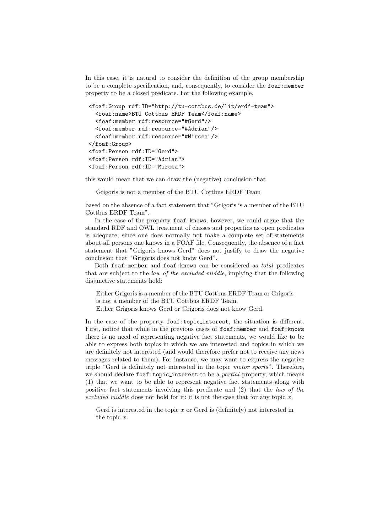In this case, it is natural to consider the definition of the group membership to be a complete specification, and, consequently, to consider the foaf: member property to be a closed predicate. For the following example,

```
<foaf:Group rdf:ID="http://tu-cottbus.de/lit/erdf-team">
  <foaf:name>BTU Cottbus ERDF Team</foaf:name>
  <foaf:member rdf:resource="#Gerd"/>
  <foaf:member rdf:resource="#Adrian"/>
  <foaf:member rdf:resource="#Mircea"/>
</foaf:Group>
<foaf:Person rdf:ID="Gerd">
<foaf:Person rdf:ID="Adrian">
<foaf:Person rdf:ID="Mircea">
```
this would mean that we can draw the (negative) conclusion that

Grigoris is not a member of the BTU Cottbus ERDF Team

based on the absence of a fact statement that "Grigoris is a member of the BTU Cottbus ERDF Team".

In the case of the property foaf:knows, however, we could argue that the standard RDF and OWL treatment of classes and properties as open predicates is adequate, since one does normally not make a complete set of statements about all persons one knows in a FOAF file. Consequently, the absence of a fact statement that "Grigoris knows Gerd" does not justify to draw the negative conclusion that "Grigoris does not know Gerd".

Both foaf:member and foaf:knows can be considered as total predicates that are subject to the law of the excluded middle, implying that the following disjunctive statements hold:

Either Grigoris is a member of the BTU Cottbus ERDF Team or Grigoris is not a member of the BTU Cottbus ERDF Team.

Either Grigoris knows Gerd or Grigoris does not know Gerd.

In the case of the property foaf:topic interest, the situation is different. First, notice that while in the previous cases of foaf:member and foaf:knows there is no need of representing negative fact statements, we would like to be able to express both topics in which we are interested and topics in which we are definitely not interested (and would therefore prefer not to receive any news messages related to them). For instance, we may want to express the negative triple "Gerd is definitely not interested in the topic motor sports". Therefore, we should declare foaf: topic\_interest to be a partial property, which means (1) that we want to be able to represent negative fact statements along with positive fact statements involving this predicate and (2) that the law of the excluded middle does not hold for it: it is not the case that for any topic  $x$ ,

Gerd is interested in the topic  $x$  or Gerd is (definitely) not interested in the topic x.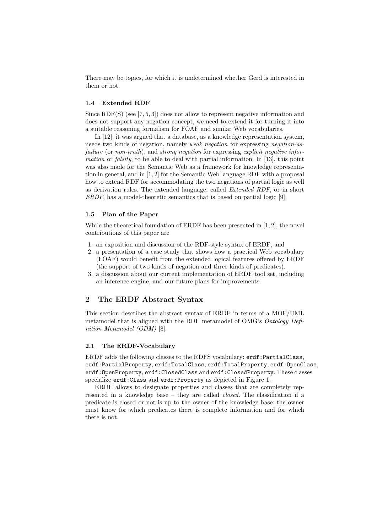There may be topics, for which it is undetermined whether Gerd is interested in them or not.

#### 1.4 Extended RDF

Since RDF(S) (see  $[7, 5, 3]$ ) does not allow to represent negative information and does not support any negation concept, we need to extend it for turning it into a suitable reasoning formalism for FOAF and similar Web vocabularies.

In [12], it was argued that a database, as a knowledge representation system, needs two kinds of negation, namely weak negation for expressing negation-asfailure (or non-truth), and strong negation for expressing explicit negative information or falsity, to be able to deal with partial information. In [13], this point was also made for the Semantic Web as a framework for knowledge representation in general, and in [1, 2] for the Semantic Web language RDF with a proposal how to extend RDF for accommodating the two negations of partial logic as well as derivation rules. The extended language, called Extended RDF, or in short ERDF, has a model-theoretic semantics that is based on partial logic [9].

### 1.5 Plan of the Paper

While the theoretical foundation of ERDF has been presented in [1, 2], the novel contributions of this paper are

- 1. an exposition and discussion of the RDF-style syntax of ERDF, and
- 2. a presentation of a case study that shows how a practical Web vocabulary (FOAF) would benefit from the extended logical features offered by ERDF (the support of two kinds of negation and three kinds of predicates).
- 3. a discussion about our current implementation of ERDF tool set, including an inference engine, and our future plans for improvements.

# 2 The ERDF Abstract Syntax

This section describes the abstract syntax of ERDF in terms of a MOF/UML metamodel that is aligned with the RDF metamodel of OMG's Ontology Definition Metamodel (ODM) [8].

#### 2.1 The ERDF-Vocabulary

ERDF adds the following classes to the RDFS vocabulary: erdf:PartialClass, erdf:PartialProperty, erdf:TotalClass, erdf:TotalProperty, erdf:OpenClass, erdf:OpenProperty, erdf:ClosedClass and erdf:ClosedProperty. These classes specialize erdf:Class and erdf:Property as depicted in Figure 1.

ERDF allows to designate properties and classes that are completely represented in a knowledge base – they are called closed. The classification if a predicate is closed or not is up to the owner of the knowledge base: the owner must know for which predicates there is complete information and for which there is not.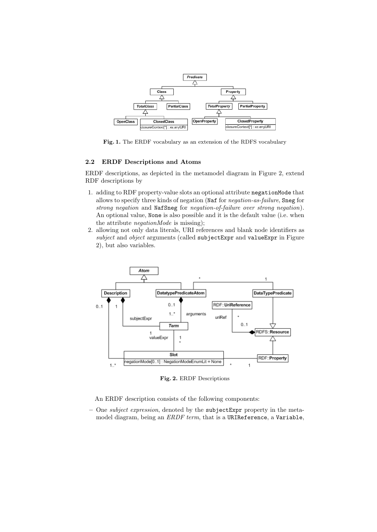

Fig. 1. The ERDF vocabulary as an extension of the RDFS vocabulary

## 2.2 ERDF Descriptions and Atoms

ERDF descriptions, as depicted in the metamodel diagram in Figure 2, extend RDF descriptions by

- 1. adding to RDF property-value slots an optional attribute negationMode that allows to specify three kinds of negation (Naf for negation-as-failure, Sneg for strong negation and NafSneg for negation-of-failure over strong negation). An optional value, None is also possible and it is the default value (i.e. when the attribute negationMode is missing);
- 2. allowing not only data literals, URI references and blank node identifiers as subject and object arguments (called subjectExpr and valueExpr in Figure 2), but also variables.



Fig. 2. ERDF Descriptions

An ERDF description consists of the following components:

– One subject expression, denoted by the subjectExpr property in the metamodel diagram, being an ERDF term, that is a URIReference, a Variable,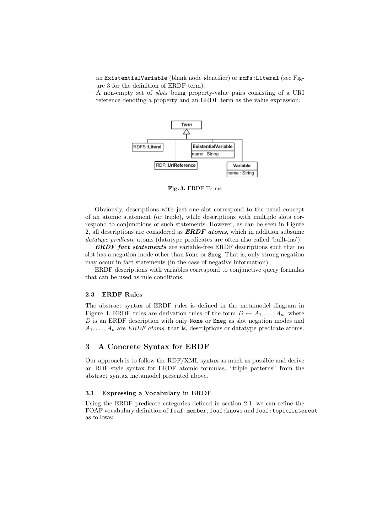an ExistentialVariable (blank node identifier) or rdfs:Literal (see Figure 3 for the definition of ERDF term).

– A non-empty set of slots being property-value pairs consisting of a URI reference denoting a property and an ERDF term as the value expression.



Fig. 3. ERDF Terms

Obviously, descriptions with just one slot correspond to the usual concept of an atomic statement (or triple), while descriptions with multiple slots correspond to conjunctions of such statements. However, as can be seen in Figure 2, all descriptions are considered as **ERDF** atoms, which in addition subsume datatype predicate atoms (datatype predicates are often also called 'built-ins').

**ERDF** fact statements are variable-free ERDF descriptions such that no slot has a negation mode other than None or Sneg. That is, only strong negation may occur in fact statements (in the case of negative information).

ERDF descriptions with variables correspond to conjunctive query formulas that can be used as rule conditions.

## 2.3 ERDF Rules

The abstract syntax of ERDF rules is defined in the metamodel diagram in Figure 4. ERDF rules are derivation rules of the form  $D \leftarrow A_1, \ldots, A_n$ . where  $D$  is an ERDF description with only None or Sneg as slot negation modes and  $A_1, \ldots, A_n$  are *ERDF* atoms, that is, descriptions or datatype predicate atoms.

## 3 A Concrete Syntax for ERDF

Our approach is to follow the RDF/XML syntax as much as possible and derive an RDF-style syntax for ERDF atomic formulas, "triple patterns" from the abstract syntax metamodel presented above.

### 3.1 Expressing a Vocabulary in ERDF

Using the ERDF predicate categories defined in section 2.1, we can refine the FOAF vocabulary definition of foaf:member, foaf:knows and foaf:topic interest as follows: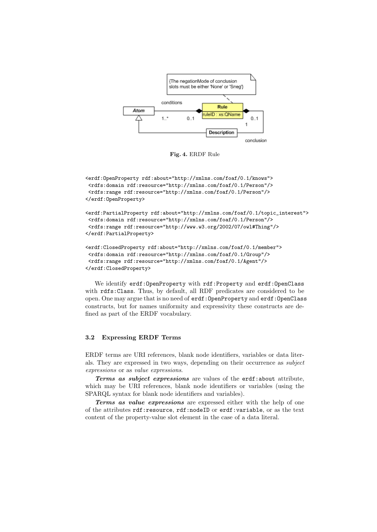

Fig. 4. ERDF Rule

```
<erdf:OpenProperty rdf:about="http://xmlns.com/foaf/0.1/knows">
<rdfs:domain rdf:resource="http://xmlns.com/foaf/0.1/Person"/>
<rdfs:range rdf:resource="http://xmlns.com/foaf/0.1/Person"/>
</erdf:OpenProperty>
<erdf:PartialProperty rdf:about="http://xmlns.com/foaf/0.1/topic_interest">
```

```
<rdfs:domain rdf:resource="http://xmlns.com/foaf/0.1/Person"/>
<rdfs:range rdf:resource="http://www.w3.org/2002/07/owl#Thing"/>
</erdf:PartialProperty>
```

```
<erdf:ClosedProperty rdf:about="http://xmlns.com/foaf/0.1/member">
<rdfs:domain rdf:resource="http://xmlns.com/foaf/0.1/Group"/>
<rdfs:range rdf:resource="http://xmlns.com/foaf/0.1/Agent"/>
</erdf:ClosedProperty>
```
We identify erdf:OpenProperty with rdf:Property and erdf:OpenClass with rdfs:Class. Thus, by default, all RDF predicates are considered to be open. One may argue that is no need of erdf: OpenProperty and erdf: OpenClass constructs, but for names uniformity and expressivity these constructs are defined as part of the ERDF vocabulary.

### 3.2 Expressing ERDF Terms

ERDF terms are URI references, blank node identifiers, variables or data literals. They are expressed in two ways, depending on their occurrence as subject expressions or as value expressions.

Terms as subject expressions are values of the erdf: about attribute, which may be URI references, blank node identifiers or variables (using the SPARQL syntax for blank node identifiers and variables).

Terms as value expressions are expressed either with the help of one of the attributes rdf:resource, rdf:nodeID or erdf:variable, or as the text content of the property-value slot element in the case of a data literal.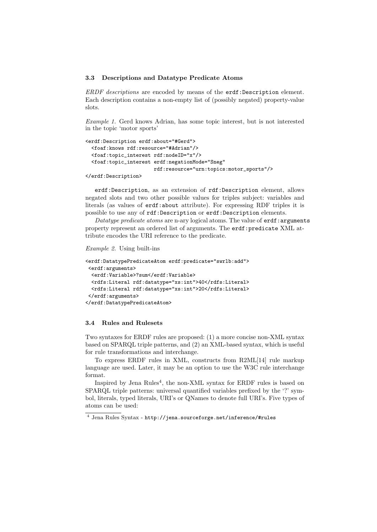#### 3.3 Descriptions and Datatype Predicate Atoms

ERDF descriptions are encoded by means of the erdf:Description element. Each description contains a non-empty list of (possibly negated) property-value slots.

Example 1. Gerd knows Adrian, has some topic interest, but is not interested in the topic 'motor sports'

```
<erdf:Description erdf:about="#Gerd">
 <foaf:knows rdf:resource="#Adrian"/>
 <foaf:topic_interest rdf:nodeID="x"/>
 <foaf:topic_interest erdf:negationMode="Sneg"
                       rdf:resource="urn:topics:motor_sports"/>
</erdf:Description>
```
erdf:Description, as an extension of rdf:Description element, allows negated slots and two other possible values for triples subject: variables and literals (as values of erdf:about attribute). For expressing RDF triples it is possible to use any of rdf:Description or erdf:Description elements.

Datatype predicate atoms are n-ary logical atoms. The value of  $erdf:arguments$ property represent an ordered list of arguments. The erdf: predicate XML attribute encodes the URI reference to the predicate.

#### Example 2. Using built-ins

```
<erdf:DatatypePredicateAtom erdf:predicate="swrlb:add">
<erdf:arguments>
 <erdf:Variable>?sum</erdf:Variable>
 <rdfs:Literal rdf:datatype="xs:int">40</rdfs:Literal>
 <rdfs:Literal rdf:datatype="xs:int">20</rdfs:Literal>
</erdf:arguments>
</erdf:DatatypePredicateAtom>
```
#### 3.4 Rules and Rulesets

Two syntaxes for ERDF rules are proposed: (1) a more concise non-XML syntax based on SPARQL triple patterns, and (2) an XML-based syntax, which is useful for rule transformations and interchange.

To express ERDF rules in XML, constructs from R2ML[14] rule markup language are used. Later, it may be an option to use the W3C rule interchange format.

Inspired by Jena Rules<sup>4</sup>, the non-XML syntax for ERDF rules is based on SPARQL triple patterns: universal quantified variables prefixed by the '?' symbol, literals, typed literals, URI's or QNames to denote full URI's. Five types of atoms can be used:

 $^4$  Jena Rules Syntax - http://jena.sourceforge.net/inference/#rules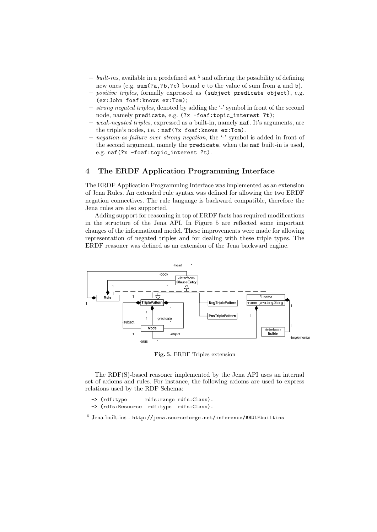- $built-ins$ , available in a predefined set  $5$  and offering the possibility of defining new ones (e.g. sum(?a,?b,?c) bound c to the value of sum from a and b).
- positive triples, formally expressed as (subject predicate object), e.g. (ex:John foaf:knows ex:Tom);
- strong negated triples, denoted by adding the '-' symbol in front of the second node, namely predicate, e.g. (?x -foaf:topic\_interest ?t);
- weak-negated triples, expressed as a built-in, namely naf. It's arguments, are the triple's nodes, i.e. : naf(?x foaf:knows ex:Tom).
- negation-as-failure over strong negation, the '-' symbol is added in front of the second argument, namely the predicate, when the naf built-in is used, e.g. naf(?x -foaf:topic\_interest ?t).

# 4 The ERDF Application Programming Interface

The ERDF Application Programming Interface was implemented as an extension of Jena Rules. An extended rule syntax was defined for allowing the two ERDF negation connectives. The rule language is backward compatible, therefore the Jena rules are also supported.

Adding support for reasoning in top of ERDF facts has required modifications in the structure of the Jena API. In Figure 5 are reflected some important changes of the informational model. These improvements were made for allowing representation of negated triples and for dealing with these triple types. The ERDF reasoner was defined as an extension of the Jena backward engine.



Fig. 5. ERDF Triples extension

The RDF(S)-based reasoner implemented by the Jena API uses an internal set of axioms and rules. For instance, the following axioms are used to express relations used by the RDF Schema:

```
-> (rdf:type rdfs:range rdfs:Class).
-> (rdfs:Resource rdf:type rdfs:Class).
```
 $^5$  Jena built-ins - http://jena.sourceforge.net/inference/#RULEbuiltins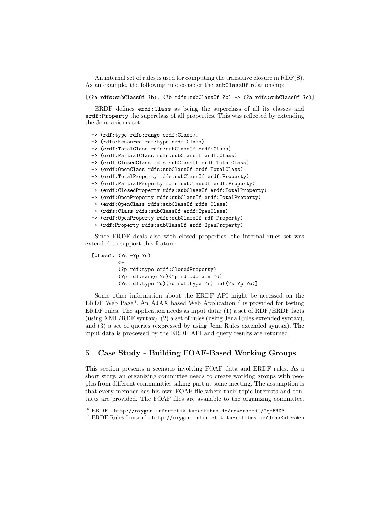An internal set of rules is used for computing the transitive closure in RDF(S). As an example, the following rule consider the subClassOf relationship:

[(?a rdfs:subClassOf ?b), (?b rdfs:subClassOf ?c) -> (?a rdfs:subClassOf ?c)]

ERDF defines erdf:Class as being the superclass of all its classes and erdf:Property the superclass of all properties. This was reflected by extending the Jena axioms set:

```
-> (rdf:type rdfs:range erdf:Class).
-> (rdfs:Resource rdf:type erdf:Class).
-> (erdf:TotalClass rdfs:subClassOf erdf:Class)
-> (erdf:PartialClass rdfs:subClassOf erdf:Class)
-> (erdf:ClosedClass rdfs:subClassOf erdf:TotalClass)
-> (erdf:OpenClass rdfs:subClassOf erdf:TotalClass)
-> (erdf:TotalProperty rdfs:subClassOf erdf:Property)
-> (erdf:PartialProperty rdfs:subClassOf erdf:Property)
-> (erdf:ClosedProperty rdfs:subClassOf erdf:TotalProperty)
-> (erdf:OpenProperty rdfs:subClassOf erdf:TotalProperty)
-> (erdf:OpenClass rdfs:subClassOf rdfs:Class)
-> (rdfs:Class rdfs:subClassOf erdf:OpenClass)
-> (erdf:OpenProperty rdfs:subClassOf rdf:Property)
-> (rdf:Property rdfs:subClassOf erdf:OpenProperty)
```
Since ERDF deals also with closed properties, the internal rules set was extended to support this feature:

```
[close1: (?s -?p ?o)
         \leftarrow(?p rdf:type erdf:ClosedProperty)
         (?p rdf:range ?r)(?p rdf:domain ?d)
         (?s rdf:type ?d)(?o rdf:type ?r) naf(?s ?p ?o)]
```
Some other information about the ERDF API might be accessed on the ERDF Web Page<sup>6</sup>. An AJAX based Web Application<sup>7</sup> is provided for testing ERDF rules. The application needs as input data: (1) a set of RDF/ERDF facts (using XML/RDF syntax), (2) a set of rules (using Jena Rules extended syntax), and (3) a set of queries (expressed by using Jena Rules extended syntax). The input data is processed by the ERDF API and query results are returned.

# 5 Case Study - Building FOAF-Based Working Groups

This section presents a scenario involving FOAF data and ERDF rules. As a short story, an organizing committee needs to create working groups with peoples from different communities taking part at some meeting. The assumption is that every member has his own FOAF file where their topic interests and contacts are provided. The FOAF files are available to the organizing committee.

 $6$  ERDF - http://oxygen.informatik.tu-cottbus.de/rewerse-i1/?q=ERDF

 $^7$  ERDF Rules frontend -  ${\tt http://oxygen.informatik.tu-cottbus.de/JenaRulesWeb}$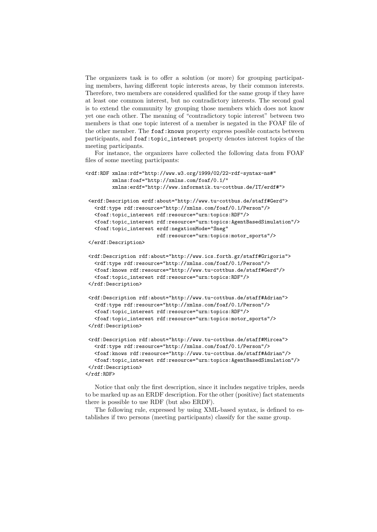The organizers task is to offer a solution (or more) for grouping participating members, having different topic interests areas, by their common interests. Therefore, two members are considered qualified for the same group if they have at least one common interest, but no contradictory interests. The second goal is to extend the community by grouping those members which does not know yet one each other. The meaning of "contradictory topic interest" between two members is that one topic interest of a member is negated in the FOAF file of the other member. The foaf:knows property express possible contacts between participants, and foaf:topic\_interest property denotes interest topics of the meeting participants.

For instance, the organizers have collected the following data from FOAF files of some meeting participants:

```
<rdf:RDF xmlns:rdf="http://www.w3.org/1999/02/22-rdf-syntax-ns#"
        xmlns:foaf="http://xmlns.com/foaf/0.1/"
        xmlns:erdf="http://www.informatik.tu-cottbus.de/IT/erdf#">
<erdf:Description erdf:about="http://www.tu-cottbus.de/staff#Gerd">
  <rdf:type rdf:resource="http://xmlns.com/foaf/0.1/Person"/>
  <foaf:topic_interest rdf:resource="urn:topics:RDF"/>
  <foaf:topic_interest rdf:resource="urn:topics:AgentBasedSimulation"/>
  <foaf:topic_interest erdf:negationMode="Sneg"
                       rdf:resource="urn:topics:motor_sports"/>
</erdf:Description>
<rdf:Description rdf:about="http://www.ics.forth.gr/staff#Grigoris">
  <rdf:type rdf:resource="http://xmlns.com/foaf/0.1/Person"/>
  <foaf:knows rdf:resource="http://www.tu-cottbus.de/staff#Gerd"/>
   <foaf:topic_interest rdf:resource="urn:topics:RDF"/>
</rdf:Description>
<rdf:Description rdf:about="http://www.tu-cottbus.de/staff#Adrian">
  <rdf:type rdf:resource="http://xmlns.com/foaf/0.1/Person"/>
  <foaf:topic_interest rdf:resource="urn:topics:RDF"/>
   <foaf:topic_interest rdf:resource="urn:topics:motor_sports"/>
</rdf:Description>
<rdf:Description rdf:about="http://www.tu-cottbus.de/staff#Mircea">
  <rdf:type rdf:resource="http://xmlns.com/foaf/0.1/Person"/>
  <foaf:knows rdf:resource="http://www.tu-cottbus.de/staff#Adrian"/>
```

```
<foaf:topic_interest rdf:resource="urn:topics:AgentBasedSimulation"/>
</rdf:Description>
\langle \text{rdf:RDF} \rangle
```
Notice that only the first description, since it includes negative triples, needs

to be marked up as an ERDF description. For the other (positive) fact statements there is possible to use RDF (but also ERDF).

The following rule, expressed by using XML-based syntax, is defined to establishes if two persons (meeting participants) classify for the same group.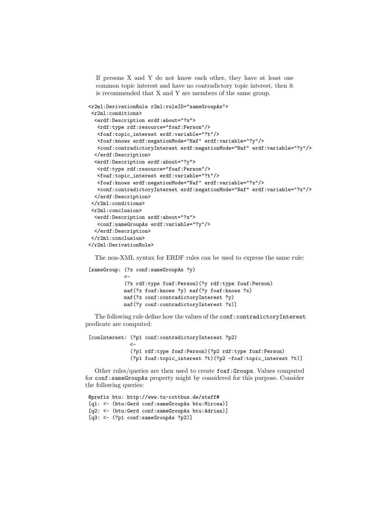If persons X and Y do not know each other, they have at least one common topic interest and have no contradictory topic interest, then it is recommended that X and Y are members of the same group.

```
<r2ml:DerivationRule r2ml:ruleID="sameGroupAs">
<r2ml:conditions>
 <erdf:Description erdf:about="?x">
  <rdf:type rdf:resource="foaf:Person"/>
  <foaf:topic_interest erdf:variable="?t"/>
  <foaf:knows erdf:negationMode="Naf" erdf:variable="?y"/>
  <conf:contradictoryInterest erdf:negationMode="Naf" erdf:variable="?y"/>
 </erdf:Description>
 <erdf:Description erdf:about="?y">
  <rdf:type rdf:resource="foaf:Person"/>
  <foaf:topic_interest erdf:variable="?t"/>
  <foaf:knows erdf:negationMode="Naf" erdf:variable="?x"/>
  <conf:contradictoryInterest erdf:negationMode="Naf" erdf:variable="?x"/>
 </erdf:Description>
</r2ml:conditions>
<r2ml:conclusion>
 <erdf:Description erdf:about="?x">
  <conf:sameGroupAs erdf:variable="?y"/>
 </erdf:Description>
</r2ml:conclusion>
</r2ml:DerivationRule>
```
The non-XML syntax for ERDF rules can be used to express the same rule:

```
[sameGroup: (?x conf:sameGroupAs ?y)
            <-
            (?x rdf:type foaf:Person)(?y rdf:type foaf:Person)
           naf(?x foaf:knows ?y) naf(?y foaf:knows ?x)
           naf(?x conf:contradictoryInterest ?y)
           naf(?y conf:contradictoryInterest ?x)]
```
The following rule define how the values of the conf: contradictoryInterest predicate are computed:

```
[conInterest: (?p1 conf:contradictoryInterest ?p2)
              \leftarrow(?p1 rdf:type foaf:Person)(?p2 rdf:type foaf:Person)
              (?p1 foaf:topic_interest ?t)(?p2 -foaf:topic_interest ?t)]
```
Other rules/queries are then used to create foaf:Groups. Values computed for conf:sameGroupAs property might by considered for this purpose. Consider the following queries:

```
@prefix btu: http://www.tu-cottbus.de/staff#
[q1: <- (btu:Gerd conf:sameGroupAs btu:Mircea)]
[q2: <- (btu:Gerd conf:sameGroupAs btu:Adrian)]
[q3: <- (?p1 conf:sameGroupAs ?p2)]
```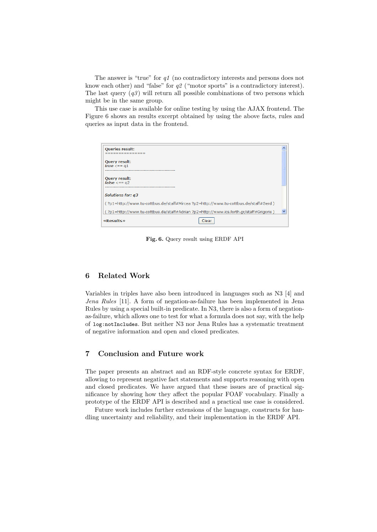The answer is "true" for q1 (no contradictory interests and persons does not know each other) and "false" for  $q2$  ("motor sports" is a contradictory interest). The last query  $(q3)$  will return all possible combinations of two persons which might be in the same group.

This use case is available for online testing by using the AJAX frontend. The Figure 6 shows an results excerpt obtained by using the above facts, rules and queries as input data in the frontend.

| <b>Queries result:</b><br>----------                                                       |  |  |
|--------------------------------------------------------------------------------------------|--|--|
| <b>Ouerv result:</b><br>true $\leq$ == q1                                                  |  |  |
| <b>Query result:</b><br>false $\leq$ == q2                                                 |  |  |
| <b>Solutions for: q3</b>                                                                   |  |  |
| (?p1=http://www.tu-cottbus.de/staff#Mircea?p2=http://www.tu-cottbus.de/staff#Gerd)         |  |  |
| (?p1=http://www.tu-cottbus.de/staff#Adrian?p2=http://www.ics.forth.gr/staff#Grigoris)<br>v |  |  |
| <b>«Results»</b><br>Clear                                                                  |  |  |

Fig. 6. Query result using ERDF API

# 6 Related Work

Variables in triples have also been introduced in languages such as N3 [4] and Jena Rules [11]. A form of negation-as-failure has been implemented in Jena Rules by using a special built-in predicate. In N3, there is also a form of negationas-failure, which allows one to test for what a formula does not say, with the help of log:notIncludes. But neither N3 nor Jena Rules has a systematic treatment of negative information and open and closed predicates.

# 7 Conclusion and Future work

The paper presents an abstract and an RDF-style concrete syntax for ERDF, allowing to represent negative fact statements and supports reasoning with open and closed predicates. We have argued that these issues are of practical significance by showing how they affect the popular FOAF vocabulary. Finally a prototype of the ERDF API is described and a practical use case is considered.

Future work includes further extensions of the language, constructs for handling uncertainty and reliability, and their implementation in the ERDF API.